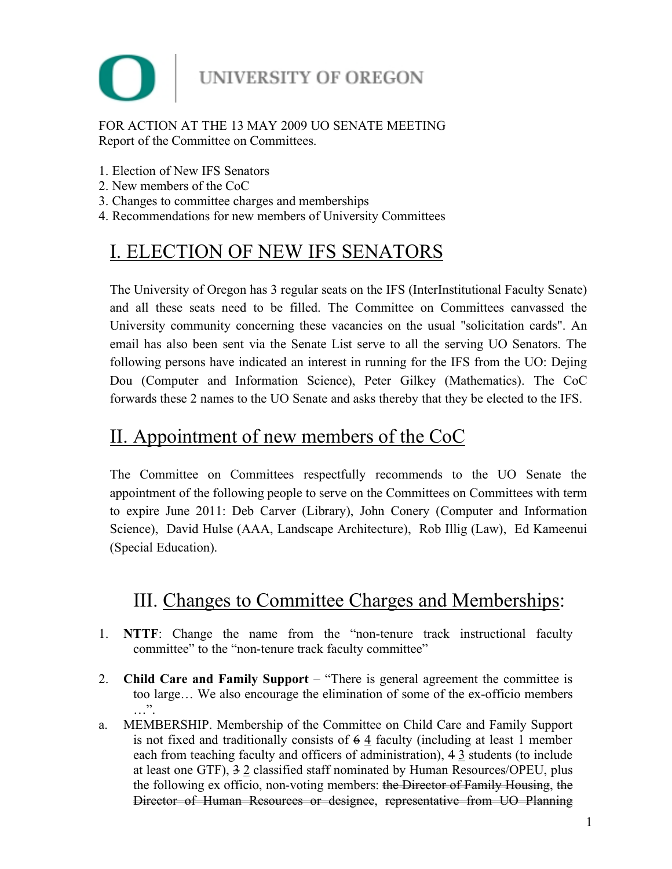

### FOR ACTION AT THE 13 MAY 2009 UO SENATE MEETING Report of the Committee on Committees.

- 1. Election of New IFS Senators
- 2. New members of the CoC
- 3. Changes to committee charges and memberships
- 4. Recommendations for new members of University Committees

# I. ELECTION OF NEW IFS SENATORS

The University of Oregon has 3 regular seats on the IFS (InterInstitutional Faculty Senate) and all these seats need to be filled. The Committee on Committees canvassed the University community concerning these vacancies on the usual "solicitation cards". An email has also been sent via the Senate List serve to all the serving UO Senators. The following persons have indicated an interest in running for the IFS from the UO: Dejing Dou (Computer and Information Science), Peter Gilkey (Mathematics). The CoC forwards these 2 names to the UO Senate and asks thereby that they be elected to the IFS.

## II. Appointment of new members of the CoC

The Committee on Committees respectfully recommends to the UO Senate the appointment of the following people to serve on the Committees on Committees with term to expire June 2011: Deb Carver (Library), John Conery (Computer and Information Science), David Hulse (AAA, Landscape Architecture), Rob Illig (Law), Ed Kameenui (Special Education).

# III. Changes to Committee Charges and Memberships:

- 1. **NTTF**: Change the name from the "non-tenure track instructional faculty committee" to the "non-tenure track faculty committee"
- 2. **Child Care and Family Support** "There is general agreement the committee is too large… We also encourage the elimination of some of the ex-officio members  $\cdots$  ".
- a. MEMBERSHIP. Membership of the Committee on Child Care and Family Support is not fixed and traditionally consists of  $\frac{64}{4}$  faculty (including at least 1 member each from teaching faculty and officers of administration), 4 3 students (to include at least one GTF),  $\frac{3}{7}$  2 classified staff nominated by Human Resources/OPEU, plus the following ex officio, non-voting members: the Director of Family Housing, the Director of Human Resources or designee, representative from UO Planning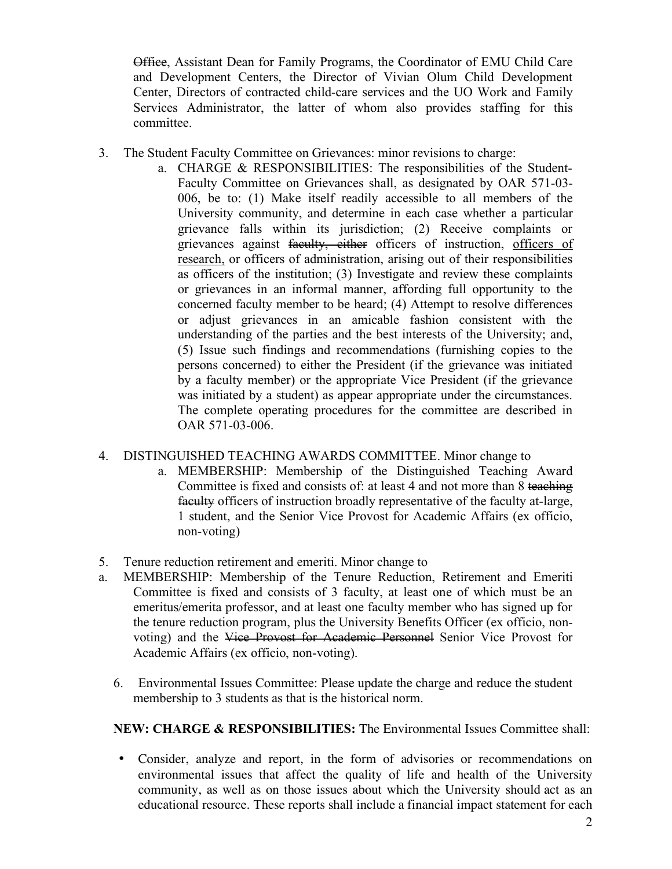Office, Assistant Dean for Family Programs, the Coordinator of EMU Child Care and Development Centers, the Director of Vivian Olum Child Development Center, Directors of contracted child-care services and the UO Work and Family Services Administrator, the latter of whom also provides staffing for this committee.

- 3. The Student Faculty Committee on Grievances: minor revisions to charge:
	- a. CHARGE & RESPONSIBILITIES: The responsibilities of the Student-Faculty Committee on Grievances shall, as designated by OAR 571-03- 006, be to: (1) Make itself readily accessible to all members of the University community, and determine in each case whether a particular grievance falls within its jurisdiction; (2) Receive complaints or grievances against faculty, either officers of instruction, officers of research, or officers of administration, arising out of their responsibilities as officers of the institution; (3) Investigate and review these complaints or grievances in an informal manner, affording full opportunity to the concerned faculty member to be heard; (4) Attempt to resolve differences or adjust grievances in an amicable fashion consistent with the understanding of the parties and the best interests of the University; and, (5) Issue such findings and recommendations (furnishing copies to the persons concerned) to either the President (if the grievance was initiated by a faculty member) or the appropriate Vice President (if the grievance was initiated by a student) as appear appropriate under the circumstances. The complete operating procedures for the committee are described in OAR 571-03-006.

#### 4. DISTINGUISHED TEACHING AWARDS COMMITTEE. Minor change to

- a. MEMBERSHIP: Membership of the Distinguished Teaching Award Committee is fixed and consists of: at least 4 and not more than 8 teaching faculty officers of instruction broadly representative of the faculty at-large, 1 student, and the Senior Vice Provost for Academic Affairs (ex officio, non-voting)
- 5. Tenure reduction retirement and emeriti. Minor change to
- a. MEMBERSHIP: Membership of the Tenure Reduction, Retirement and Emeriti Committee is fixed and consists of 3 faculty, at least one of which must be an emeritus/emerita professor, and at least one faculty member who has signed up for the tenure reduction program, plus the University Benefits Officer (ex officio, nonvoting) and the Vice Provost for Academic Personnel Senior Vice Provost for Academic Affairs (ex officio, non-voting).
	- 6. Environmental Issues Committee: Please update the charge and reduce the student membership to 3 students as that is the historical norm.

### **NEW: CHARGE & RESPONSIBILITIES:** The Environmental Issues Committee shall:

• Consider, analyze and report, in the form of advisories or recommendations on environmental issues that affect the quality of life and health of the University community, as well as on those issues about which the University should act as an educational resource. These reports shall include a financial impact statement for each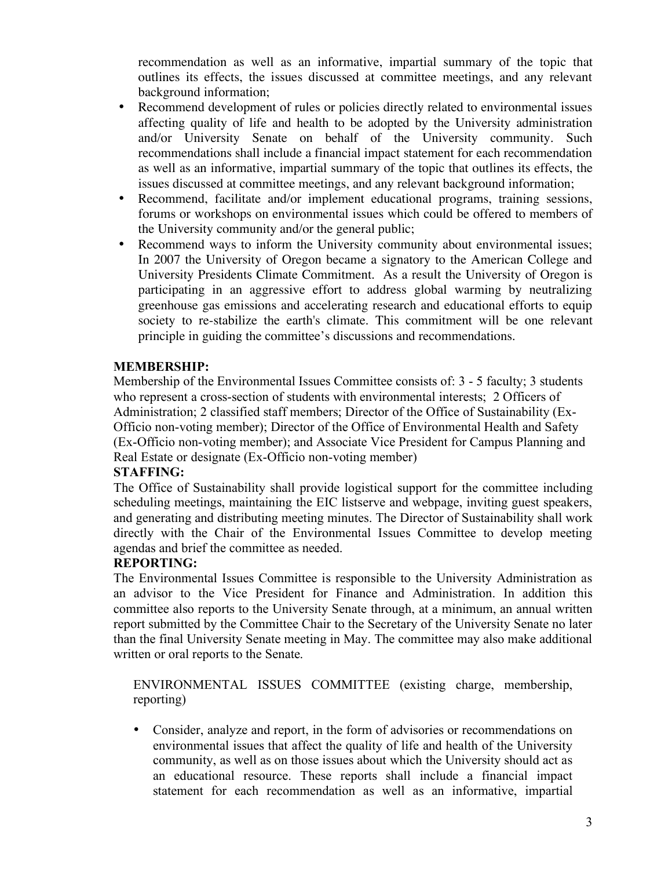recommendation as well as an informative, impartial summary of the topic that outlines its effects, the issues discussed at committee meetings, and any relevant background information;

- Recommend development of rules or policies directly related to environmental issues affecting quality of life and health to be adopted by the University administration and/or University Senate on behalf of the University community. Such recommendations shall include a financial impact statement for each recommendation as well as an informative, impartial summary of the topic that outlines its effects, the issues discussed at committee meetings, and any relevant background information;
- Recommend, facilitate and/or implement educational programs, training sessions, forums or workshops on environmental issues which could be offered to members of the University community and/or the general public;
- Recommend ways to inform the University community about environmental issues; In 2007 the University of Oregon became a signatory to the American College and University Presidents Climate Commitment. As a result the University of Oregon is participating in an aggressive effort to address global warming by neutralizing greenhouse gas emissions and accelerating research and educational efforts to equip society to re-stabilize the earth's climate. This commitment will be one relevant principle in guiding the committee's discussions and recommendations.

#### **MEMBERSHIP:**

Membership of the Environmental Issues Committee consists of: 3 - 5 faculty; 3 students who represent a cross-section of students with environmental interests; 2 Officers of Administration; 2 classified staff members; Director of the Office of Sustainability (Ex-Officio non-voting member); Director of the Office of Environmental Health and Safety (Ex-Officio non-voting member); and Associate Vice President for Campus Planning and Real Estate or designate (Ex-Officio non-voting member)

#### **STAFFING:**

The Office of Sustainability shall provide logistical support for the committee including scheduling meetings, maintaining the EIC listserve and webpage, inviting guest speakers, and generating and distributing meeting minutes. The Director of Sustainability shall work directly with the Chair of the Environmental Issues Committee to develop meeting agendas and brief the committee as needed.

#### **REPORTING:**

The Environmental Issues Committee is responsible to the University Administration as an advisor to the Vice President for Finance and Administration. In addition this committee also reports to the University Senate through, at a minimum, an annual written report submitted by the Committee Chair to the Secretary of the University Senate no later than the final University Senate meeting in May. The committee may also make additional written or oral reports to the Senate.

ENVIRONMENTAL ISSUES COMMITTEE (existing charge, membership, reporting)

• Consider, analyze and report, in the form of advisories or recommendations on environmental issues that affect the quality of life and health of the University community, as well as on those issues about which the University should act as an educational resource. These reports shall include a financial impact statement for each recommendation as well as an informative, impartial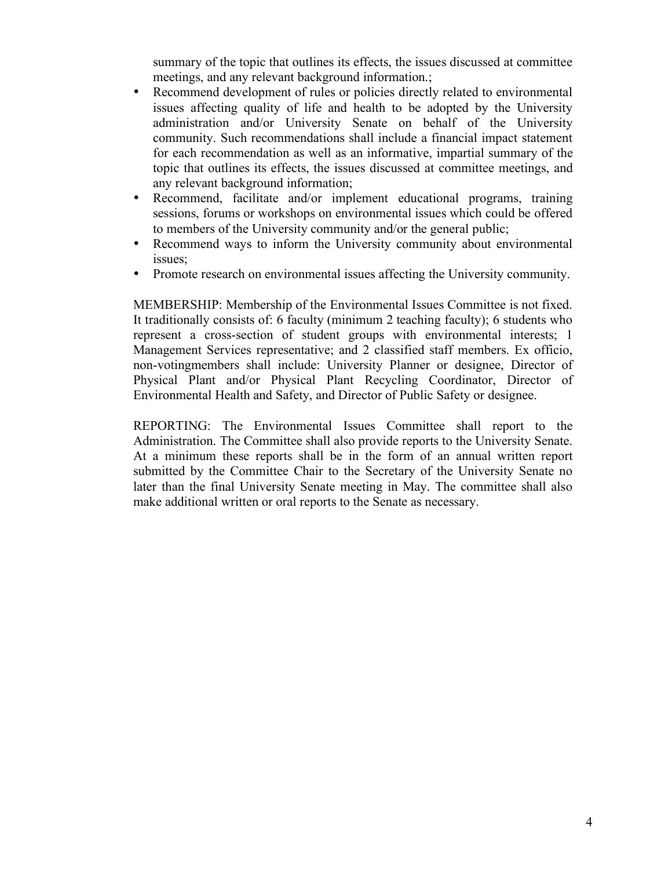summary of the topic that outlines its effects, the issues discussed at committee meetings, and any relevant background information.;

- Recommend development of rules or policies directly related to environmental issues affecting quality of life and health to be adopted by the University administration and/or University Senate on behalf of the University community. Such recommendations shall include a financial impact statement for each recommendation as well as an informative, impartial summary of the topic that outlines its effects, the issues discussed at committee meetings, and any relevant background information;
- Recommend, facilitate and/or implement educational programs, training sessions, forums or workshops on environmental issues which could be offered to members of the University community and/or the general public;
- Recommend ways to inform the University community about environmental issues;
- Promote research on environmental issues affecting the University community.

MEMBERSHIP: Membership of the Environmental Issues Committee is not fixed. It traditionally consists of: 6 faculty (minimum 2 teaching faculty); 6 students who represent a cross-section of student groups with environmental interests; 1 Management Services representative; and 2 classified staff members. Ex officio, non-votingmembers shall include: University Planner or designee, Director of Physical Plant and/or Physical Plant Recycling Coordinator, Director of Environmental Health and Safety, and Director of Public Safety or designee.

REPORTING: The Environmental Issues Committee shall report to the Administration. The Committee shall also provide reports to the University Senate. At a minimum these reports shall be in the form of an annual written report submitted by the Committee Chair to the Secretary of the University Senate no later than the final University Senate meeting in May. The committee shall also make additional written or oral reports to the Senate as necessary.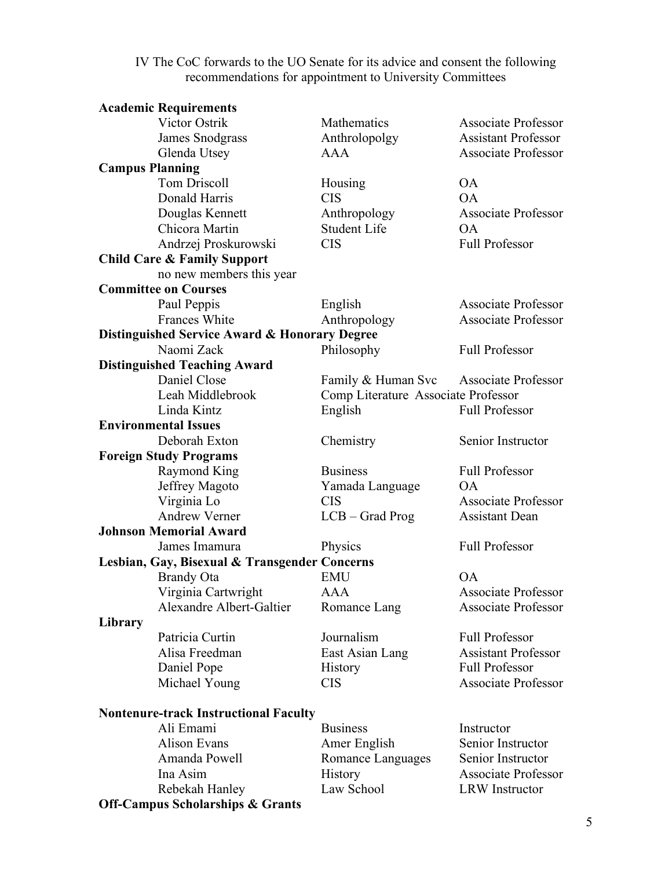IV The CoC forwards to the UO Senate for its advice and consent the following recommendations for appointment to University Committees

| <b>Academic Requirements</b>                  |                                               |                                     |                            |  |  |
|-----------------------------------------------|-----------------------------------------------|-------------------------------------|----------------------------|--|--|
| Victor Ostrik                                 |                                               | Mathematics                         | <b>Associate Professor</b> |  |  |
| James Snodgrass                               |                                               | Anthrolopolgy                       | <b>Assistant Professor</b> |  |  |
| Glenda Utsey                                  |                                               | <b>AAA</b>                          | <b>Associate Professor</b> |  |  |
| <b>Campus Planning</b>                        |                                               |                                     |                            |  |  |
| <b>Tom Driscoll</b>                           |                                               | Housing                             | <b>OA</b>                  |  |  |
| Donald Harris                                 |                                               | <b>CIS</b>                          | OA                         |  |  |
| Douglas Kennett                               |                                               | Anthropology                        | Associate Professor        |  |  |
| Chicora Martin                                |                                               | <b>Student Life</b>                 | <b>OA</b>                  |  |  |
|                                               | Andrzej Proskurowski                          | <b>CIS</b>                          | Full Professor             |  |  |
| <b>Child Care &amp; Family Support</b>        |                                               |                                     |                            |  |  |
|                                               | no new members this year                      |                                     |                            |  |  |
| <b>Committee on Courses</b>                   |                                               |                                     |                            |  |  |
| Paul Peppis                                   |                                               | English                             | Associate Professor        |  |  |
| Frances White                                 |                                               | Anthropology                        | <b>Associate Professor</b> |  |  |
|                                               | Distinguished Service Award & Honorary Degree |                                     |                            |  |  |
| Naomi Zack                                    |                                               | Philosophy                          | <b>Full Professor</b>      |  |  |
| <b>Distinguished Teaching Award</b>           |                                               |                                     |                            |  |  |
| Daniel Close                                  |                                               | Family & Human Svc                  | <b>Associate Professor</b> |  |  |
|                                               | Leah Middlebrook                              | Comp Literature Associate Professor |                            |  |  |
| Linda Kintz                                   |                                               | English                             | <b>Full Professor</b>      |  |  |
| <b>Environmental Issues</b>                   |                                               |                                     |                            |  |  |
| Deborah Exton                                 |                                               | Chemistry                           | Senior Instructor          |  |  |
| <b>Foreign Study Programs</b>                 |                                               |                                     |                            |  |  |
| Raymond King                                  |                                               | <b>Business</b>                     | <b>Full Professor</b>      |  |  |
| Jeffrey Magoto                                |                                               | Yamada Language                     | <b>OA</b>                  |  |  |
| Virginia Lo                                   |                                               | <b>CIS</b>                          | <b>Associate Professor</b> |  |  |
| Andrew Verner                                 |                                               | $LCB - Grad Prog$                   | <b>Assistant Dean</b>      |  |  |
| <b>Johnson Memorial Award</b>                 |                                               |                                     |                            |  |  |
| James Imamura                                 |                                               | Physics                             | <b>Full Professor</b>      |  |  |
| Lesbian, Gay, Bisexual & Transgender Concerns |                                               |                                     |                            |  |  |
| <b>Brandy Ota</b>                             |                                               | <b>EMU</b>                          | OA                         |  |  |
|                                               | Virginia Cartwright                           | AAA                                 | <b>Associate Professor</b> |  |  |
|                                               | Alexandre Albert-Galtier                      | Romance Lang                        | <b>Associate Professor</b> |  |  |
| Library                                       |                                               |                                     |                            |  |  |
| Patricia Curtin                               |                                               | Journalism                          | <b>Full Professor</b>      |  |  |
| Alisa Freedman                                |                                               | East Asian Lang                     | <b>Assistant Professor</b> |  |  |
| Daniel Pope                                   |                                               | History                             | <b>Full Professor</b>      |  |  |
| Michael Young                                 |                                               | <b>CIS</b>                          | <b>Associate Professor</b> |  |  |
|                                               | <b>Nontenure-track Instructional Faculty</b>  |                                     |                            |  |  |
| Ali Emami                                     |                                               | <b>Business</b>                     | Instructor                 |  |  |
| <b>Alison Evans</b>                           |                                               | Amer English                        | Senior Instructor          |  |  |
| Amanda Powell                                 |                                               | Romance Languages                   | Senior Instructor          |  |  |
| Ina Asim                                      |                                               | History                             | <b>Associate Professor</b> |  |  |
| Rebekah Hanley                                |                                               | Law School                          | <b>LRW</b> Instructor      |  |  |

**Off-Campus Scholarships & Grants**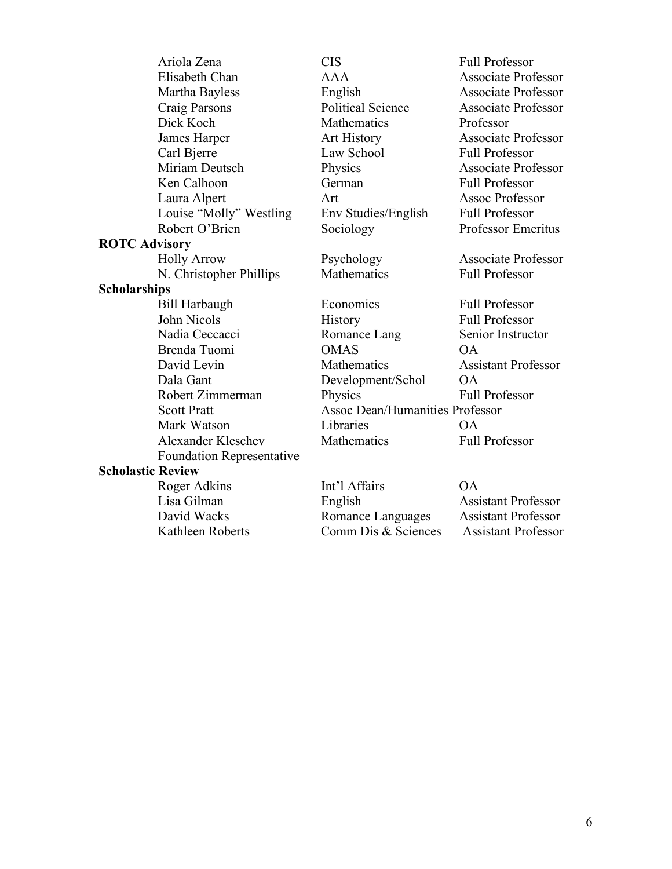|                          | Ariola Zena                      | <b>CIS</b>                             | <b>Full Professor</b>      |
|--------------------------|----------------------------------|----------------------------------------|----------------------------|
|                          | Elisabeth Chan                   | AAA                                    | <b>Associate Professor</b> |
|                          | Martha Bayless                   | English                                | <b>Associate Professor</b> |
|                          | Craig Parsons                    | <b>Political Science</b>               | <b>Associate Professor</b> |
|                          | Dick Koch                        | Mathematics                            | Professor                  |
|                          | James Harper                     | Art History                            | Associate Professor        |
|                          | Carl Bjerre                      | Law School                             | <b>Full Professor</b>      |
|                          | Miriam Deutsch                   | Physics                                | <b>Associate Professor</b> |
|                          | Ken Calhoon                      | German                                 | <b>Full Professor</b>      |
|                          | Laura Alpert                     | Art                                    | <b>Assoc Professor</b>     |
|                          | Louise "Molly" Westling          | Env Studies/English                    | <b>Full Professor</b>      |
|                          | Robert O'Brien                   | Sociology                              | Professor Emeritus         |
| <b>ROTC Advisory</b>     |                                  |                                        |                            |
|                          | <b>Holly Arrow</b>               | Psychology                             | <b>Associate Professor</b> |
|                          | N. Christopher Phillips          | Mathematics                            | <b>Full Professor</b>      |
| <b>Scholarships</b>      |                                  |                                        |                            |
|                          | <b>Bill Harbaugh</b>             | Economics                              | <b>Full Professor</b>      |
|                          | John Nicols                      | History                                | <b>Full Professor</b>      |
|                          | Nadia Ceccacci                   | Romance Lang                           | Senior Instructor          |
|                          | Brenda Tuomi                     | <b>OMAS</b>                            | OA                         |
|                          | David Levin                      | Mathematics                            | <b>Assistant Professor</b> |
|                          | Dala Gant                        | Development/Schol                      | <b>OA</b>                  |
|                          | Robert Zimmerman                 | Physics                                | <b>Full Professor</b>      |
|                          | <b>Scott Pratt</b>               | <b>Assoc Dean/Humanities Professor</b> |                            |
|                          | Mark Watson                      | Libraries                              | <b>OA</b>                  |
|                          | <b>Alexander Kleschev</b>        | Mathematics                            | <b>Full Professor</b>      |
|                          | <b>Foundation Representative</b> |                                        |                            |
| <b>Scholastic Review</b> |                                  |                                        |                            |
|                          | Roger Adkins                     | Int'l Affairs                          | OA                         |
|                          | Lisa Gilman                      | English                                | <b>Assistant Professor</b> |
|                          | David Wacks                      | Romance Languages                      | <b>Assistant Professor</b> |
|                          | Kathleen Roberts                 | Comm Dis & Sciences                    | <b>Assistant Professor</b> |
|                          |                                  |                                        |                            |